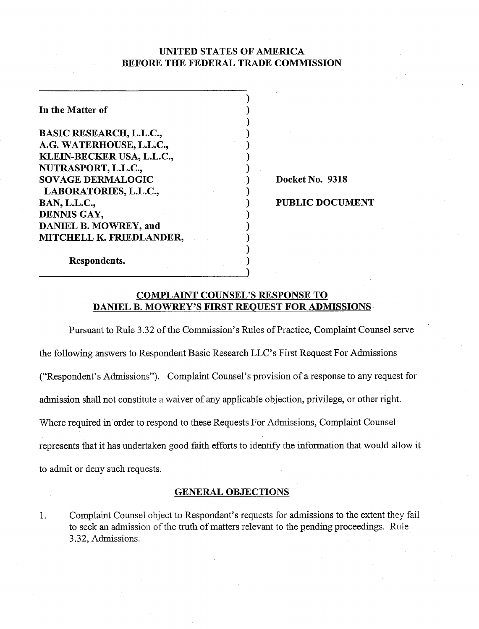# UNITED STATES OF AMERICA BEFORE THE FEDERAL TRADE COMMISSION

1  $\mathcal{Y}$  $)$  $)$  $)$  $\mathbf{)}$  $)$ 

 $)$ 

 $)$  $)$  $)$  $\mathbf{)}$  $\mathbf{)}$ 

| In the Matter of               |
|--------------------------------|
| <b>BASIC RESEARCH, L.L.C.,</b> |
| A.G. WATERHOUSE, L.L.C.,       |
| KLEIN-BECKER USA, L.L.C.,      |
| NUTRASPORT, L.L.C.,            |
| <b>SOVAGE DERMALOGIC</b>       |
| LABORATORIES, L.L.C.,          |
| <b>BAN, L.L.C.,</b>            |
| DENNIS GAY,                    |
| <b>DANIEL B. MOWREY, and</b>   |
| MITCHELL K. FRIEDLANDER,       |
|                                |

Docket No. 9318

# PUBLIC DOCUMENT

# Respondents..

# COMPLAINT COUNSEL'S RESPONSE TO DANIEL B. MOWREY'S FIRST REQUEST FOR ADMISSIONS

Pursuant to Rule 3.32 of the Commission's Rules of Practice, Complaint Counsel serve the following answers to Respondent Basic Research LLC's First Request For Adrmssions (''Respondent's Admissions"). Complaint Counsel's provision of a response to any request for admission shall not constitute a waiver of any applicable objection, privilege, or other right. Where required in order to respond to these Requests For Admissions, Complaint Counsel represents that it has undertaken good faith efforts to identify the information that would allow it to admit or deny such requests.

# GENERAL OBJECTIONS

1. Complaint Counsel object to Respondent's requests for admissions to the extent they fail to seek an admission of the truth of matters relevant to the pending proceedings. Rule 3.32, Admissions.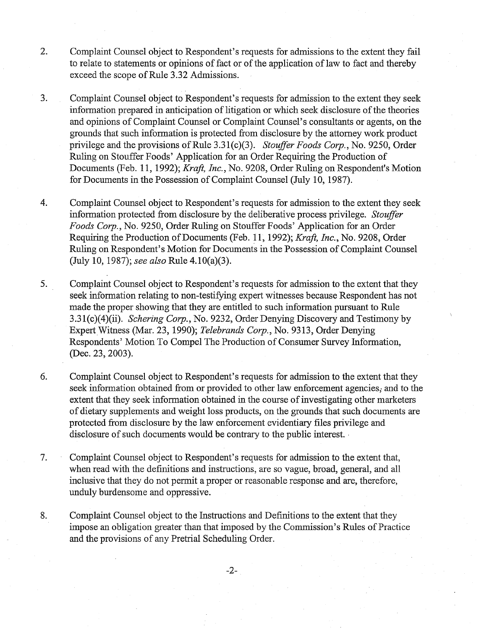- 2. Complaint Counsel object to Respondent's requests for admissions to the extent they fail to relate to statements or opinions of fact or of the application of law to fact and thereby exceed the scope of Rule 3.32 Admissions.
- 3. Complaint Counsel object to Respondent's requests for admission to the extent they seek information prepared in anticipation of litigation or which seek disclosure of the theories and opinions of Complaint Counsel or Complaint Counsel's consultants or agents, on the grounds that such information is protected from disclosure by the attorney work product privilege and the provisions of Rule 3.31(c)(3). Stouffer Foods Corp., No. 9250, Order Ruling on Stouffer Foods' Application for an Order Requiring the Production of Documents (Feb. 11, 1992); Kraft, Inc., No. 9208, Order Ruling on Respondent's Motion for Documents in the Possession of Complaint Counsel (July 10, 1987).
- 4. Complaint Counsel object to Respondent's requests for admission to the extent they seek information protected from disclosure by the deliberative process privilege. Stouffer Foods Corp., No. 9250, Order Rulmg on Stouffer Foods' Application for an Order Requiring the Production of Documents (Feb. 11, 1992); Kraft, Inc., No. 9208, Order Ruling on Respondent's Motion for Documents in the Possession of Complaint Counsel (July 10, 1987); see also Rule 4.10(a)(3).
- 5. Complaint Counsel object to Respondent's requests for admission to the extent that they seek information relating to non-testifying expert witnesses because Respondent has not made the proper showing that they are entitled to such information pursuant to Rule 3.31(c)(4)(ii). Schering Corp., No. 9232, Order Denying Discovery and Testimony by Expert Witness (Mar. 23, 1990); Telebrands Corp., No. 9313, Order Denying Respondents' Motion To Compel The Production of Consumer Survey Information, (Dec. 23, 2003).
- *6.* Complaint Counsel object to Respondent's requests for admission to the extent that they seek information obtained from or provided to other law enforcement agencies, and to the extent that they seek information obtained in the course of investigating other marketers of dietary supplements and weight loss products, on the grounds that such documents are protected from disclosure by the law enforcement evidentiary files privilege and disclosure of such documents would be contrary to the public interest.
- 7. Complaint Counsel object to Respondent's requests for admission to the extent that, when read with the definitions and instructions, are so vague, broad, general, and all inclusive that they do not permit a proper or reasonable response and are, therefore, unduly burdensome and oppressive.
- 8. Complaint Counsel object to the Instructions and Definitions to the extent that they impose an obligation greater than that imposed by the Commission's Rules of Practice and the provisions of any Pretrial Scheduling Order.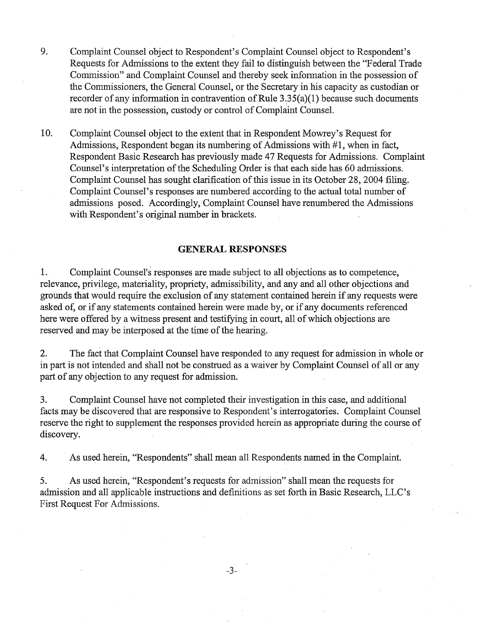- 9. Complaint Counsel object to Respondent's Complaint Counsel object to Respondent's Requests for Admissions to the extent they fail to distinguish between the "Federal Trade Commission" and Complaint Counsel and thereby seek mfonnation in the possession of the Commissioners, the General Counsel, or the Secretary in his capacity as custodian or recorder of any information in contravention of Rule  $3.35(a)(1)$  because such documents are not in the possession, custody or control of Complaint Counsel.
- 10. Complaint Counsel object to the extent that in Respondent Mowrey's Request for Admissions, Respondent began its numbering of Admissions with #1, when in fact, Respondent Basic Research has previously made 47 Requests for Admissions. Complaint Counsel's interpretation of the Scheduling Order is that each side has 60 admissions. Complaint Counsel has sought clarification of this issue in its October 28,2004 filing. Complaint Counsel's responses are numbered according to the actual total number of admissions posed. Accordingly, Complaint Counsel have renumbered the Admissions with Respondent's original number in brackets.

# **GENERAL RESPONSES**

1. Complaint Counsel's responses are made subject to all objections as to competence, relevance, privilege, materiality, propriety, admissibility, and any and all other objections and grounds that would require the exclusion of any statement contained herein if any requests were asked of, or if any statements contained herein were made by, or if any documents referenced here were offered by a witness present and testifying in court, all of which objections are reserved and may be interposed at the time of the hearing.

2. The fact that Complaint Counsel have responded to any request for admission in whole or in part is not intended and shall not be construed as a waiver by Complaint Counsel of all or any part of any objection to any request for admission.

*3.* Complaint Counsel have not completed their investigation in this case, and additional facts may be discovered that are responsive to Respondent's interrogatories. Complaint Counsel reserve the right to supplement the responses provided herein as appropriate during the course of discovery.

4. As used herein, "Respondents" shall mean all Respondents named in the Complaint.

*5.* As used herein, "Respondent's requests for admission" shall mean the requests for admssion and all applicable instructions and definitions as set forth in Basic Research, LLC's First Request For Admissions.

 $-3-$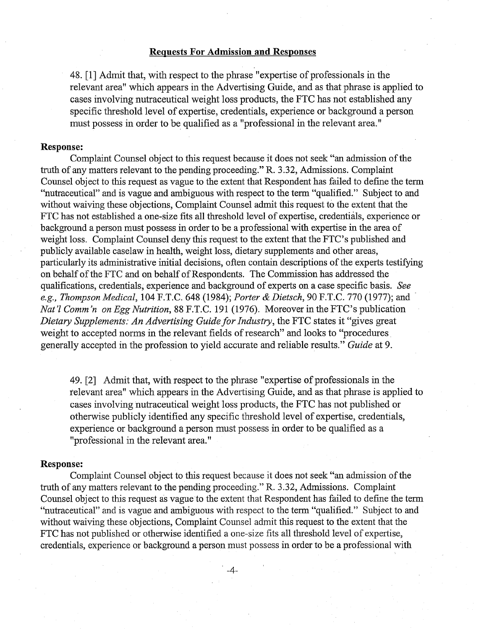# **Requests For Admission and Responses**

48. [I] Admit that, with respect to the phrase "expertise of professionals in the relevant area" whch appears in the Advertising Guide, and as that phrase is applied to cases involving nutraceutical weight loss products, the FTC has not established any specific threshold level of expertise, credentials, experience or background a person must possess in order to be qualified as a "professional in the relevant area."

# **Response:**

Complaint Counsel object to this request because it does not seek "an admission of the truth of any matters relevant to the pending proceeding." R. 3.32, Admissions. Complaint Counsel object to this request as vague to the extent that Respondent has failed to define the term "nutraceutical" and is vague and ambiguous with respect to the term "qualified." Subject to and without waiving these objections, Complaint Counsel admit this request to the extent that the FTC has not established a one-size fits all threshold level of expertise, credentials, experience or background a person must possess in order to be a professional with expertise in the area of weight loss. Complaint Counsel deny this request to the extent that the FTC's published and publicly available caselaw in health, weight loss, dietary supplements and other areas, particularly its administrative initial decisions, often contain descriptions of the experts testifying on behalf of the FTC and on behalf of Respondents. The Commission has addressed the qualifications, credentials, experience and background of experts on a case specific basis. See *e.g.,* Thompson Medical, 104 F.T.C. 648 (1984); Porter & Dietsch, 90 F.T.C. 770 (1977); and Nat'l Comm'n on *Egg Nutrition*, 88 F.T.C. 191 (1976). Moreover in the FTC's publication Dietary Supplements: *An* Advertising Guide for Industry, the FTC states it "gives great weight to accepted norms in the relevant fields of research" and looks to "procedures generally accepted in the profession to yield accurate and reliable results." Guide at 9.

49. [2] Admit that, with respect to the phrase "expertise of professionals in the relevant area" which appears in the Advertising Guide, and as that phrase is applied to cases involving nutraceutical weight loss products, the FTC has not published or otherwise publicly identified any specific threshold level of expertise, credentials, experience or background a person must possess in order to be qualified as a "professional in the relevant area. "

#### **Response:**

Complaint Counsel object to this request because it does not seek "an admission of the truth of any matters relevant to the pending proceeding." R. 3.32, Admissions. Complaint Counsel object to this request as vague to the extent that Respondent has failed to define the term "nutraceutical" and is vague and ambiguous with respect to the term "qualified." Subject to and without waiving these objections, Complaint Counsel admit ths request to the extent that the FTC has not published or otherwise identified a one-size fits all threshold level of expertise, credentials, experience or background a person must possess in order to be a professional with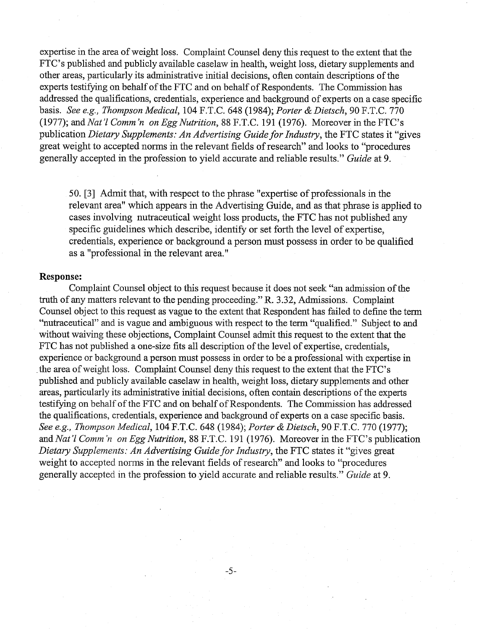expertise in the area of weight loss. Complaint Counsel deny this request to the extent that the FTC's published and publicly available caselaw in health, weight loss, dietary supplements and other areas, particularly its administrative initial decisions, often contain descriptions of the experts testifying on behalf of the FTC and on behalf of Respondents. The Commission has addressed the qualifications, credentials, experience and background of experts on a case specific basis. See e.g., Thompson Medical, 104 F.T.C. 648 (1984); Porter & Dietsch, 90 F.T.C. 770 (1977); and Nat'l Comm 'n on Egg Nutrition, 88 F.T.C. 191 (1976). Moreover in the FTC's publication Dietary Supplements: An Advertising Guide for Industry, the FTC states it "gives great weight to accepted norms in the relevant fields of research" and looks to "procedures generally accepted in the profession to yield accurate and reliable results." Guide at 9.

50. [3] Admit that, with respect to the phrase "expertise of professionals in the relevant area" which appears in the Advertising Guide, and as that phrase is applied to cases involving nutraceutical weight loss products, the FTC has not published any specific guidelines which describe, identify or set forth the level of expertise, credentials, experience or background a person must possess in order to be qualified as a "professional in the relevant area."

#### ${\bf Response:}$

Complaint Counsel object to this request because it does not seek "an admission of the truth of any matters relevant to the pending proceeding." R. 3.32, Admissions. Complaint Counsel object to this request as vague to the extent that Respondent has failed to define the term "nutraceutical" and is vague and ambiguous with respect to the term "qualified." Subject to and without waiving these objections, Complaint Counsel admit this request to the extent that the FTC has not published a one-size fits all description of the level of expertise, credentials, experience or background a person must possess in order to be a professional with expertise in the area of weight loss. Complaint Counsel deny this request to the extent that the FTC's published and publicly available caselaw in health, weight loss, dietary supplements and other areas, particularly its administrative initial decisions, often contain descriptions of the experts testifying on behalf of the FTC and on behalf of Respondents. The Commission has addressed the qualifications, credentials, experience and background of experts on a case specific basis. See e.g., Thompson Medical, 104 F.T.C. 648 (1984); Porter & Dietsch, 90 F.T.C. 770 (1977); and Nat'l Comm *'n* on Egg Nutrition, 88 F.T.C. 191 (1976). Moreover in the FTC's publication Dietary Supplements: An Advertising Guide for Industry, the FTC states it "gives great" weight to accepted norms in the relevant fields of research" and looks to "procedures generally accepted in the profession to yield accurate and reliable results." Guide at 9.

 $-5-$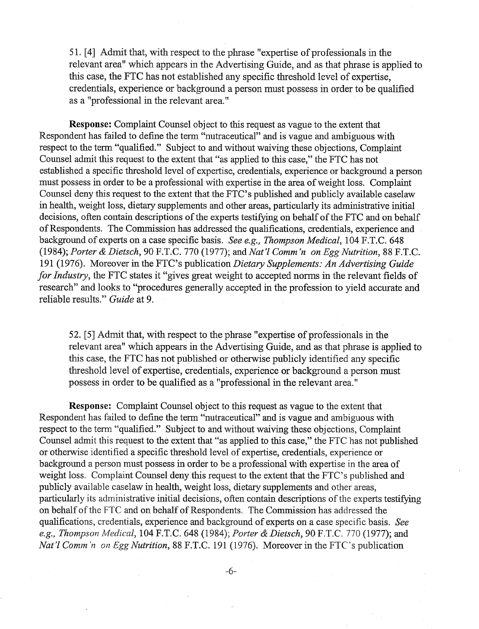5 1. [4] Admit that, with respect to the phrase "expertise of professionals in the relevant area" which appears in the Advertising Guide, and as that phrase is applied to this case, the FTC has not established any specific threshold level of expertise, credentials, experience or background a person must possess in order to be qualified as a "professional in the relevant area."

**Response:** Complaint Counsel object to this request as vague to the extent that Respondent has failed to define the term "nutraceutical" and is vague and ambiguous with respect to the term "qualified." Subject to and without waiving these objections, Complaint Counsel admit this request to the extent that "as applied to this case," the FTC has not established a specific threshold level of expertise, credentials, experience or background a person must possess in order to be a professional with expertise in the area of weight loss. Complaint Counsel deny this request to the extent that the FTC's published and publicly available caselaw in health, weight loss, dietary supplements and other areas, particularly its administrative initial decisions, often contain descriptions of the experts testifying on behalf of the FTC and on behalf of Respondents. The Commission has addressed the qualifications, credentials, experience and background of experts on a case specific basis. See e.g., Thompson Medical, 104 F.T.C. 648 (1984); Porter & Dietsch, 90 F.T.C. 770 (1977); and Nat'l Comm'n on Egg Nutrition, 88 F.T.C. 191 (1976). Moreover in the FTC's publication Dietary Supplements: An Advertising Guide for Industry, the FTC states it "gives great weight to accepted norms in the relevant fields of research" and looks to "procedures generally accepted in the profession to yield accurate and reliable results." Guide at 9.

52. *[5]* Admit that, with respect to the phrase "expertise of professionals in the relevant area" which appears in the Advertising Guide, and as that phrase is applied to this case, the FTC has not published or otherwise publicly identified any specific threshold level of expertise, credentials, experience or background a person must possess in order to be qualified as a "professional in the relevant area."

**Response:** Complaint Counsel object to this request as vague to the extent that Respondent has failed to define the term "nutraceutical" and is vague and ambiguous with respect to the term "qualified." Subject to and without waiving these objections, Complaint Counsel admit this request to the extent that "as applied to this case," the FTC has not published or otherwise identified a specific threshold level of expertise, credentials, experience or background a person must possess in order to be a professional with expertise in the area of weight loss. Complaint Counsel deny this request to the extent that the FTC's published and publicly available caselaw in health, weight loss, dietary supplements and other areas, particularly its administrative initial decisions, often contain descriptions of the experts testifying on behalf of the FTC and on behalf of Respondents. The Commission has addressed the qualifications, credentials, experience and background of experts on a case specific basis. See e.g., Thompson Medical, 104 F.T.C. 648 (1984); Porter & Dietsch, 90 F.T.C. 770 (1977); and Nat'l Comm'n on *Egg Nutrition*, 88 F.T.C. 191 (1976). Moreover in the FTC's publication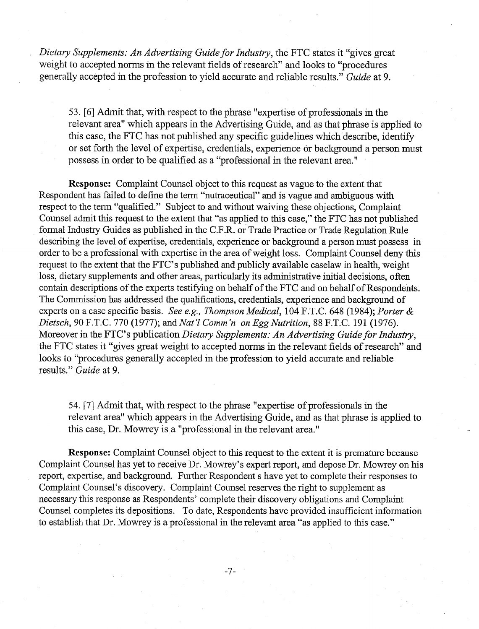Dietary Supplements: An Advertising Guide for Industry, the FTC states it "gives great weight to accepted norms in the relevant fields of research" and looks to "procedures" generally accepted in the profession to yield accurate and reliable results." Guide at 9.

53. [6] Admit that, with respect to the phrase "expertise of professionals in the relevant area" which appears in the Advertising Guide, and as that phrase is applied to this case, the FTC has not published any specific guidelines which describe, identify or set forth the level of expertise, credentials, experience or background a person must possess in order to be qualified as a "professional in the relevant area."

**Response:** Complaint Counsel object to this request as vague to the extent that Respondent has failed to define the term "nutraceutical" and is vague and ambiguous with respect to the term "qualified." Subject to and without waiving these objections, Complaint Counsel admit this request to the extent that "as applied to this case," the FTC has not published formal Industry Guides as published in the C.F.R. or Trade Practice or Trade Regulation Rule describing the level of expertise, credentials, experience or background a person must possess in order to be a professional with expertise in the area of weight loss. Complaint Counsel deny this request to the extent that the FTC's published and publicly available caselaw in health, weight loss, dietary supplements and other areas, particularly its administrative initial decisions, often contain descriptions of the experts testifying on behalf of the FTC and on behalf of Respondents. The Commission has addressed the qualifications, credentials, experience and background of experts on a case specific basis. See e.g., Thompson Medical, 104 F.T.C. 648 (1984); Porter & Dietsch, 90 F.T.C. 770 (1977); and Nat 'I Comm 'n on *Egg* Nutrition, 88 F.T.C. 191 (1976). Moreover in the FTC's publication *Dietary Supplements: An Advertising Guide for Industry*, the FTC states it "gives great weight to accepted norms in the relevant fields of research" and looks to "procedures generally accepted in the profession to yield accurate and reliable results." Guide at 9.

54. [7] Admit that, with respect to the phrase "expertise of professionals in the relevant area" which appears in the Advertising Guide, and as that phrase is applied to this case, Dr. Mowrey is a "professional in the relevant area."

**Response:** Complaint Counsel object to this request to the extent it is premature because Complaint Counsel has yet to receive Dr. Mowrey's expert report, and depose Dr. Mowrey on his report, expertise, and background. Further Respondent s have yet to complete their responses to Complaint Counsel's discovery. Complaint Counsel reserves the right to supplement as necessary this response as Respondents' complete their discovery obligations and Complaint Counsel completes its depositions. To date, Respondents have provided insufficient information to establish that Dr. Mowrey is a professional in the relevant area "as applied to this case."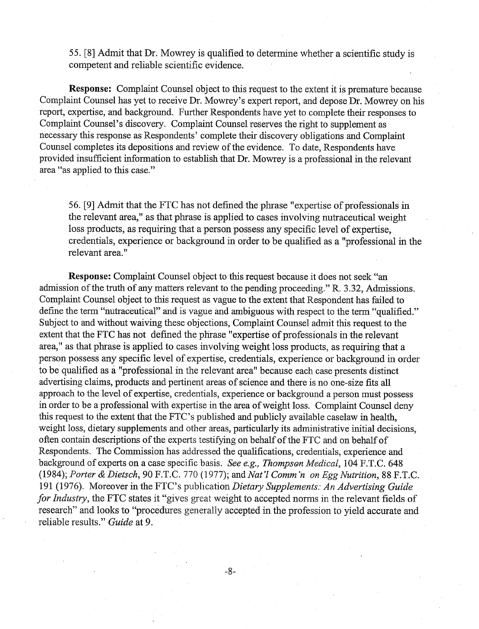55. [8] Admit that Dr. Mowrey is qualified to determine whether a scientific study is competent and reliable scientific evidence.

**Response:** Complaint Counsel object to this request to the extent it is premature because Complaint Counsel has yet to receive Dr. Mowrey's expert report, and depose Dr. Mowrey on his report, expertise, and background. Further Respondents have yet to complete their responses to Complaint Counsel's discovery. Complaint Counsel reserves the right to supplement as necessary this response as Respondents' complete their discovery obligations and Complaint Counsel completes its depositions and review of the evidence. To date, Respondents have provided insufficient information to establish that Dr. Mowrey is a professional in the relevant area "as applied to this case."

56. [9] Admit that the FTC has not defined the phrase "expertise of professionals in the relevant area," as that phrase is applied to cases involving nutraceutical weight loss products, as requiring that a person possess any specific level of expertise, credentials, experience or background in order to be qualified as a "professional in the relevant area. "

**Response:** Complaint Counsel object to this request because it does not seek "an admission of the truth of any matters relevant to the pending proceeding." R. 3.32, Admissions. Complaint Counsel object to this request as vague to the extent that Respondent has failed to define the term "nutraceutical" and is vague and ambiguous with respect to the term "qualified." Subject to and without waiving these objections, Complaint Counsel admit this request to the extent that the FTC has not defined the phrase "expertise of professionals in the relevant area," as that phrase is applied to cases involving weight loss products, as requiring that a person possess any specific level of expertise, credentials, experience or background in order to be qualified as a "professional in the relevant area" because each case presents distinct advertising claims, products and pertinent areas of science and there is no one-size fits all approach to the level of expertise, credentials, experience or background a person must possess in order to be a professional with expertise in the area of weight loss. Complaint Counsel deny this request to the extent that the FTC's published and publicly available caselaw in health, weight loss, dietary supplements and other areas, particularly its administrative initial decisions, often contain descriptions of the experts testifying on behalf of the FTC and on behalf of Respondents. The Commission has addressed the qualifications, credentials, experience and background of experts on a case specific basis. See e.g., Thompson Medical, 104 F.T.C. 648 (1984); Porter & Dietsch, 90 F.T.C. 770 (1977); and Nat'l Comm'n on *Egg* Nutrition, 88 F.T.C. 191 (1976). Moreover in the FTC's publication Dietary Supplements: An Advertising Guide for Industry, the FTC states it "gives great weight to accepted norms in the relevant fields of research" and looks to "procedures generally accepted in the profession to yield accurate and reliable results." Guide at 9.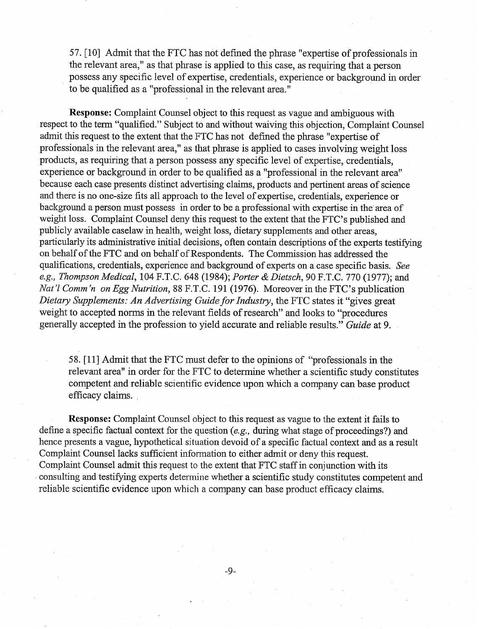57. [lo] Admit that the FTC has not defined the phrase "expertise of professionals in the relevant area," as that phrase is applied to ths case, as requiring that a person possess any specific level of expertise, credentials, experience or background in order to be qualified as a "professional in the relevant area."

**Response:** Complaint Counsel object to this request as vague and ambiguous with respect to the term "qualified." Subject to and without waiving this objection, Complaint Counsel admit this request to the extent that the FTC has not defined the phrase "expertise of professionals in the relevant area," as that phrase is applied to cases involving weight loss products, as requiring that a person possess any specific level of expertise, credentials, experience or background in order to be qualified as a "professional in the relevant area" because each case presents distinct advertising claims, products and pertinent areas of science and there is no one-size fits all approach to the level of expertise, credentials, experience or background a person must possess in order to be a professional with expertise in the area of weight loss. Complaint Counsel deny this request to the extent that the FTC's published and publicly available caselaw in health, weight loss, dietary supplements and other areas, particularly its administrative initial decisions, often contain descriptions of the experts testifying on behalf of the FTC and on behalf of Respondents. The Commission has addressed the qualifications, credentials, experience and background of experts on a case specific basis. See e.g., Thompson Medical, 104 F.T.C. 648 (1984); Porter & Dietsch, 90 F.T.C. 770 (1977); and Nat'l Comm'n on Egg Nutrition, 88 F.T.C. 191 (1976). Moreover in the FTC's publication Dietary Supplements: An Advertising Guide for Industry, the FTC states it "gives great" weight to accepted norms in the relevant fields of research" and looks to "procedures generally accepted in the profession to yield accurate and reliable results." Guide at 9.

58.  $[11]$  Admit that the FTC must defer to the opinions of "professionals in the relevant area" in order for the FTC to determine whether a scientific study constitutes competent and reliable scientific evidence upon which a company can base product efficacy claims.

define a specific factual context for the question (e.g., during what stage of proceedings?) and **Response:** Complaint Counsel object to this request as vague to the extent it fails to hence presents a vague, hypothetical situation devoid of a specific factual context and as a result Complaint Counsel lacks sufficient information to either adnut or deny this request. Complaint Counsel admit this request to the extent that FTC staff in conjunction with its consulting and testifying experts determine whether a scientific study constitutes competent and reliable scientific evidence upon which a company can base product efficacy claims.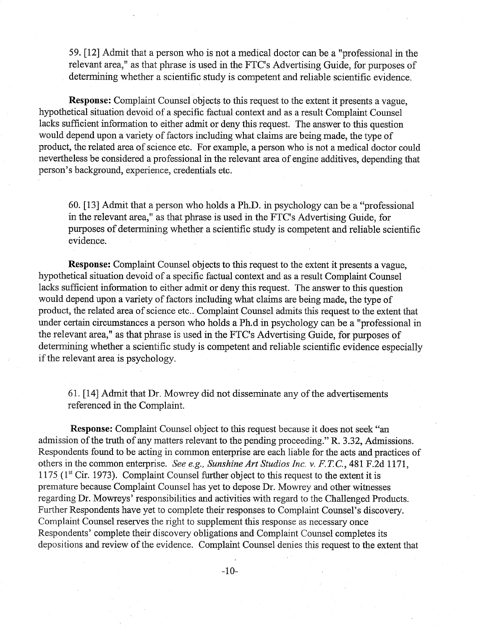59. [12] Admit that a person who is not a medical doctor can be a "professional in the relevant area," as that phrase is used in the FTC's Advertising Guide, for purposes of determining whether a scientific study is competent and reliable scientific evidence.

**Response:** Complaint Counsel objects to this request to the extent it presents a vague, hypothetical situation devoid of a specific factual context and as a result Complaint Counsel lacks sufficient information to either admit or deny this request. The answer to this question would depend upon a variety of factors including what claims are being made, the type of product, the related area of science etc. For example, a person who is not a medical doctor could nevertheless be considered a professional in the relevant area of engine additives, depending that person's background, experience, credentials etc.

60. [13] Admit that a person who holds a Ph.D. in psychology can be a "professional in the relevant area," as that phrase is used in the FTC's Advertising Guide, for purposes of determining whether a scientific study is competent and reliable scientific evidence.

**Response:** Complaint Counsel objects to this request to the extent it presents a vague, hypothetical situation devoid of a specific factual context and as a result Complaint Counsel lacks sufficient information to either admit or deny this request. The answer to this question would depend upon a variety of factors including what claims are being made, the type of product, the related area of science etc.. Complaint Counsel admits this request to the extent that under certain circumstances a person who holds a Ph.d in psychology can be a "professional in the relevant area," as that phrase is used in the FTC's Advertising Guide, for purposes of determining whether a scientific study is competent and reliable scientific evidence especially if the relevant area is psychology.

61. [14] Admit that Dr. Mowrey did not disseminate any of the advertisements referenced in the Complaint.

**Response:** Complaint Counsel object to this request because it does not seek "an admission of the truth of any matters relevant to the pending proceeding." R. 3.32, Admissions. Respondents found to be acting in common enterprise are each liable for the acts and practices of others in the common enterprise. *See e.g., Sunshine Art Studios Inc.* **v.** *F.* **T.** C., 48 1 F.2d 1 171, 1175 (1" Cir. 1973). Complaint Counsel further object to this request to the extent it is premature because Complaint Counsel has yet to depose Dr. Mowrey and other witnesses regarding Dr. Mowreys' responsibilities and activities with regard to the Challenged Products. Further Respondents have yet to complete their responses to Complaint Counsel's discovery. Complaint Counsel reserves the right to supplement this response as necessary once Respondents' complete their discovery obligations and Complaint Counsel completes its depositions and review of the evidence. Complaint Counsel denies this request to the extent that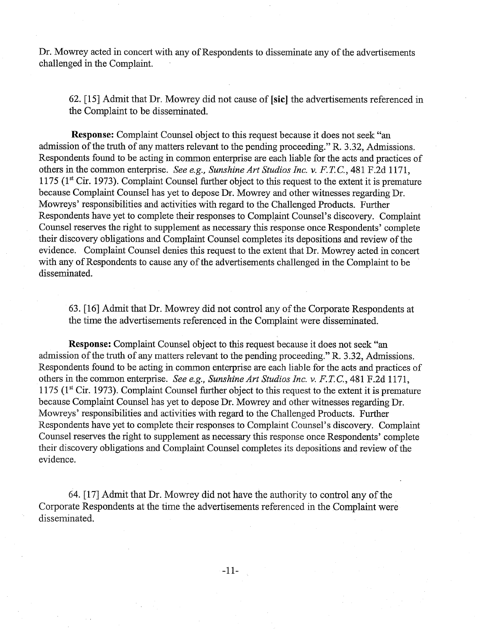Dr. Mowrey acted in concert with any of Respondents to disseminate any of the advertisements challenged in the Complaint.

62. [15] Admit that Dr. Mowrey did not cause of **[sic]** the advertisements referenced in the Complaint to be disseminated.

**Response:** Complaint Counsel object to this request because it does not seek "an admission of the truth of any matters relevant to the pending proceeding." R. 3.32, Admissions. Respondents found to be acting in common enterprise are each liable for the acts and practices of others in the common enterprise. *See* e.g., *Sunshine Art Studios Inc.* v. *F.* **T.** C., 48 1 F.2d 1 17 1, 1175 (1" Cir. 1973). Complaint Counsel further object to this request to the extent it is premature because Complaint Counsel has yet to depose Dr. Mowrey and other witnesses regarding Dr. Mowreys' responsibilities and activities with regard to the Challenged Products. Further Respondents have yet to complete their responses to Complaint Counsel's discovery. Complaint Counsel reserves the right to supplement as necessary this response once Respondents' complete their discovery obligations and Complaint Counsel completes its depositions and review of the evidence. Complaint Counsel denies this request to the extent that Dr. Mowrey acted in concert with any of Respondents to cause any of the advertisements challenged in the Complaint to be disseminated.

63. [16] Admit that Dr. Mowrey did not control any of the Corporate Respondents at the time the advertisements referenced in the Complaint were disseminated.

**Response:** Complaint Counsel object to this request because it does not seek "an admission of the tmth of any matters relevant to the pending proceeding." R. 3.32, Admissions. Respondents found to be acting in common enterprise are each liable for the acts and practices of others in the common enterprise. *See* e.g., *Sunshine Art Studios Inc.* v. *F.* **T.** C., 48 1 F.2d 1 17 1, 1175 (1" Cir. 1973). Complaint Counsel further object to this request to the extent it is premature because Complaint Counsel has yet to depose Dr. Mowrey and other witnesses regarding Dr. Mowreys' responsibilities and activities with regard to the Challenged Products. Further Respondents have yet to complete their responses to Complaint Counsel's discovery. Complaint Counsel reserves the right to supplement as necessary this response once Respondents' complete their discovery obligations and Complaint Counsel completes its depositions and review of the evidence.

64. [17] Admit that Dr. Mowrey did not have the authority to control any of the Corporate Respondents at the time the advertisements referenced in the Complaint were disseminated.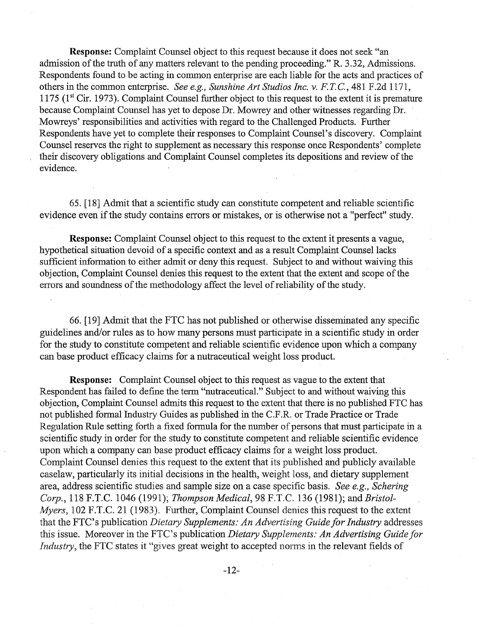**Response:** Complaint Counsel object to this request because it does not seek "an admission of the truth of any matters relevant to the pending proceeding." R. 3.32, Admissions. Respondents found to be acting in common enterprise are each liable for the acts and practices of others in the common enterprise. See e.g., Sunshine Art Studios Inc. v. F. *T.* C., 48 1 F.2d 11 71, 1175 (1" Cir. 1973). Complaint Counsel further object to ths request to the extent it is premature because Complaint Counsel has yet to depose Dr. Mowrey and other witnesses regarding Dr. Mowreys' responsibilities and activities with regard to the Challenged Products. Further Respondents have yet to complete their responses to Complaint Counsel's discovery. Complaint Counsel reserves the right to supplement as necessary this response once Respondents' complete their discovery obligations and Complaint Counsel completes its depositions and review of the evidence.

65. [18] Admit that a scientific study can constitute competent and reliable scientific evidence even if the study contains errors or mistakes, or is otherwise not a "perfect" study.

**Response:** Complaint Counsel object to this request to the extent it presents a vague, hypothetical situation devoid of a specific context and as a result Complaint Counsel lacks sufficient information to either admit or deny this request. Subject to and without waiving this objection, Complaint Counsel denies this request to the extent that the extent and scope of the errors and soundness of the methodology affect the level of reliability of the study.

66. [19] Admit that the FTC has not published or otherwise disseminated any specific guidelines and/or rules as to how many persons must participate in a scientific study in order for the study to constitute competent and reliable scientific evidence upon which a company can base product efficacy claims for a nutraceutical weight loss product.

**Response:** Complaint Counsel object to this request as vague to the extent that Respondent has failed to define the term "nutraceutical." Subject to and without waiving this objection, Complaint Counsel admits this request to the extent that there is no published FTC has not published formal Industry Guides as published in the C.F.R. or Trade Practice or Trade Regulation Rule setting forth a fixed formula for the number of persons that must participate in a scientific study in order for the study to constitute competent and reliable scientific evidence upon which a company can base product efficacy claims for a weight loss product. Complaint Counsel denies this request to the extent that its published and publicly available caselaw, particularly its initial decisions in the health, weight loss, and dietary supplement area, address scientific studies and sample size on a case specific basis. See *e.g.,* Schering Corp., 118 F.T.C. 1046 (1991); Thompson Medical, 98 F.T.C. 136 (1981); and Bristol-Myers, 102 F.T.C. 21 (1983). Further, Complaint Counsel denies this request to the extent that the FTC's publication *Dietary Supplements: An Advertising Guide for Industry* addresses this issue. Moreover in the FTC's publication *Dietary Supplements: An Advertising Guide for* Industry, the FTC states it "gives great weight to accepted norms in the relevant fields of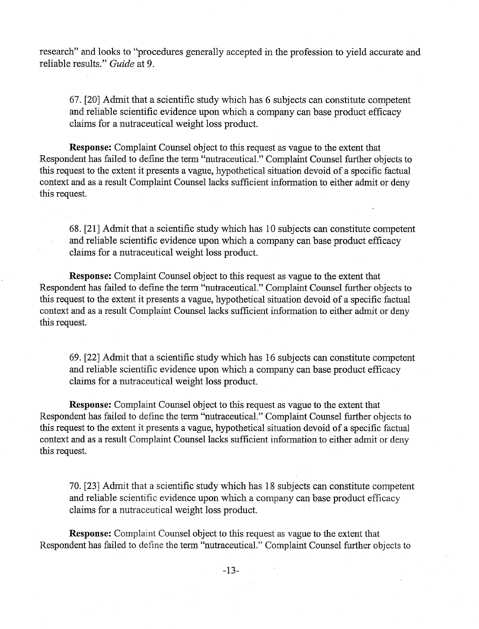research" and looks to "procedures generally accepted in the profession to yield accurate and reliable results." **Guide** at 9.

67. [20] Admit that a scientific study whch has 6 subjects can constitute competent and reliable scientific evidence upon which a company can base product efficacy claims for a nutraceutical weight loss product.

**Response:** Complaint Counsel object to ths request as vague to the extent that Respondent has failed to define the term "nutraceutical." Complaint Counsel further objects to this request to the extent it presents a vague, hypothetical situation devoid of a specific factual context and as a result Complaint Counsel lacks sufficient information to either admit or deny this request.

68. [21] Admit that a scientific study which has 10 subjects can constitute competent and reliable scientific evidence upon whch a company can base product efficacy claims for a nutraceutical weight loss product.

**Response:** Complaint Counsel object to this request as vague to the extent that Respondent has failed to define the term "nutraceutical." Complaint Counsel further objects to this request to the extent it presents a vague, hypothetical situation devoid of a specific factual context and as a result Complaint Counsel lacks sufficient information to either admit or deny this request.

69. [22] Admit that a scientific study whch has 16 subjects can constitute competent and reliable scientific evidence upon which a company can base product efficacy claims for a nutraceutical weight loss product.

**Response:** Complaint Counsel object to this request as vague to the extent that Respondent has failed to define the term "nutraceutical." Complaint Counsel further objects to this request to the extent it presents a vague, hypothetical situation devoid of a specific factual context and as a result Complaint Counsel lacks sufficient information to either admit or deny this request.

70. [23] Admit that a scientific study which has 18 subjects can constitute competent and reliable scientific evidence upon which a company can base product efficacy claims for a nutraceutical weight loss product.

**Response:** Complaint Counsel object to ths request as vague to the extent that Respondent has failed to define the term "nutraceutical." Complaint Counsel further objects to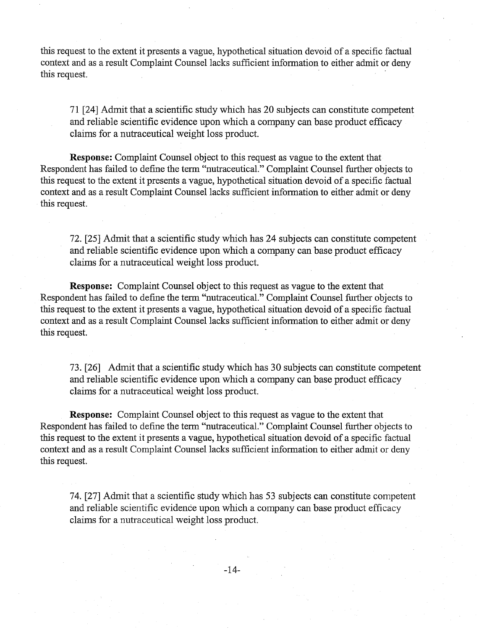this request to the extent it presents a vague, hypothetical situation devoid of a specific factual context and as a result Complaint Counsel lacks sufficient information to either admit or deny this request.

71 [24] Admit that a scientific study whch has 20 subjects can constitute competent and reliable scientific evidence upon which a company can base product efficacy claims for a nutraceutical weight loss product.

**Response:** Complaint Counsel object to ths request as vague to the extent that Respondent has failed to define the term "nutraceutical." Complaint Counsel further objects to this request to the extent it presents a vague, hypothetical situation devoid of a specific factual context and as a result Complaint Counsel lacks sufficient information to either admit or deny this request.

72. [25] Admit that a scientific study which has 24 subjects can constitute competent and reliable scientific evidence upon which a company can base product efficacy claims for a nutraceutical weight loss product.

**Response:** Complaint Counsel object to this request as vague to the extent that Respondent has failed to define the term "nutraceutical." Complaint Counsel further objects to this request to the extent it presents a vague, hypothetical situation devoid of a specific factual context and as a result Complaint Counsel lacks sufficient information to either admit or deny this request.

73. [26] Admit that a scientific study which has 30 subjects can constitute competent and reliable scientific evidence upon whch a company can base product efficacy claims for a nutraceutical weight loss product.

**Response:** Complaint Counsel object to ths request as vague to the extent that Respondent has failed to define the term "nutraceutical." Complaint Counsel further objects to this request to the extent it presents a vague, hypothetical situation devoid of a specific factual context and as a result Complaint Counsel lacks sufficient information to either admit or deny this request.

74. [27] Admit that a scientific study whch has 53 subjects can constitute competent and reliable scientific evidence upon whch a company can base product efficacy claims for a nutraceutical weight loss product.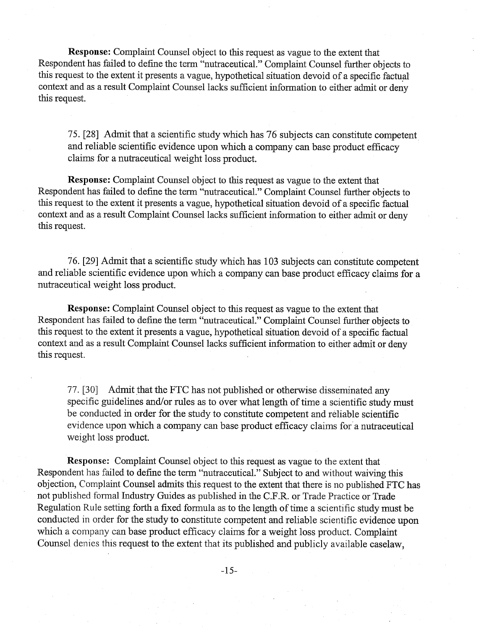**Response:** Complaint Counsel object to this request as vague to the extent that Respondent has failed to define the term "nutraceutical." Complaint Counsel further objects to this request to the extent it presents a vague, hypothetical situation devoid of a specific factual context and as a result Complaint Counsel lacks sufficient information to either admit or deny this request.

75. [28] Admit that a scientific study whch has 76 subjects can constitute competent and reliable scientific evidence upon which a company can base product efficacy claims for a nutraceutical weight loss product.

**Response:** Complaint Counsel object to ths request as vague to the extent that Respondent has failed to define the term "nutraceutical." Complaint Counsel further objects to this request to the extent it presents a vague, hypothetical situation devoid of a specific factual context and as a result Complaint Counsel lacks sufficient information to either admit or deny this request.

76. [29] Admit that a scientific study which has 103 subjects can constitute competent and reliable scientific evidence upon which a company can base product efficacy claims for a nutraceutical weight loss

**Response:** Complaint Counsel object to this request as vague to the extent that Respondent has failed to define the term "nutraceutical." Complaint Counsel further objects to hs request to the extent it presents a vague, hypothetical situation devoid of a specific factual context and as a result Complaint Counsel lacks sufficient information to either admit or deny this request.

77. [30] Admit that the FTC has not published or otherwise disseminated any specific guidelines and/or rules as to over what length of time a scientific study must be conducted in order for the study to constitute competent and reliable scientific evidence upon which a company can base product efficacy claims for a nutraceutical weight loss product.

**Response:** Complaint Counsel object to this request as vague to the extent that Respondent has failed to define the term "nutraceutical." Subject to and without waiving this objection, Complaint Counsel admits this request to the extent that there is no published FTC has not published formal Industry Guides as published in the C.F.R. or Trade Practice or Trade Regulation Rule setting forth a fixed formula as to the length of time a scientific study must be conducted in order for the study to constitute competent and reliable scientific evidence upon which a company can base product efficacy claims for a weight loss product. Complaint Counsel denies this request to the extent that its published and publicly available caselaw,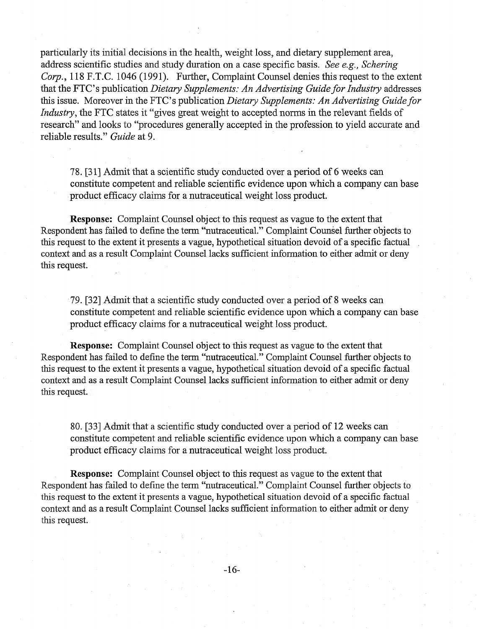particularly its initial decisions in the health, weight loss, and dietary supplement area, address scientific studies and study duration on a case specific basis. See e.g., Schering Corp., 118 F.T.C. 1046 (1991). Further, Complaint Counsel denies this request to the extent that the FTC's publication *Dietary Supplements: An Advertising Guide for Industry* addresses this issue. Moreover in the FTC's publication Dietary Supplements: An Advertising Guide for Industry, the FTC states it "gives great weight to accepted norms in the relevant fields of research" and looks to "procedures generally accepted in the profession to yield accurate and reliable results." Guide at 9.

78. **[31]** Admit that a scientific study conducted over a period of 6 weeks can constitute competent and reliable scientific evidence upon whch a company can base product efficacy claims for a nutraceutical weight loss product.

**Response:** Complaint Counsel object to this request as vague to the extent that Respondent has failed to define the term "nutraceutical." Complaint Counsel further objects to this request to the extent it presents a vague, hypothetical situation devoid of a specific factual context and as a result Complaint Counsel lacks sufficient information to either admit or deny this request.

79. [32] Admit that a scientific study conducted over a period of 8 weeks can constitute competent and reliable scientific evidence upon which a company can base product efficacy claims for a nutraceutical weight loss product.

**Response:** Complaint Counsel object to this request as vague to the extent that Respondent has failed to define the term "nutraceutical." Complaint Counsel further objects to this request to the extent it presents a vague, hypothetical situation devoid of a specific factual context and as a result Complaint Counsel lacks sufficient information to either admit or deny this request.

80. [33] Admit that a scientific study conducted over a period of 12 weeks can constitute competent and reliable scientific evidence upon whch a company can base product efficacy claims for a nutraceutical weight loss product.

**Response:** Complaint Counsel object to this request as vague to the extent that Respondent has failed to define the term "nutraceutical." Complaint Counsel further objects to this request to the extent it presents a vague, hypothetical situation devoid of a specific factual context and as a result Complaint Counsel lacks sufficient information to either admit or deny this request.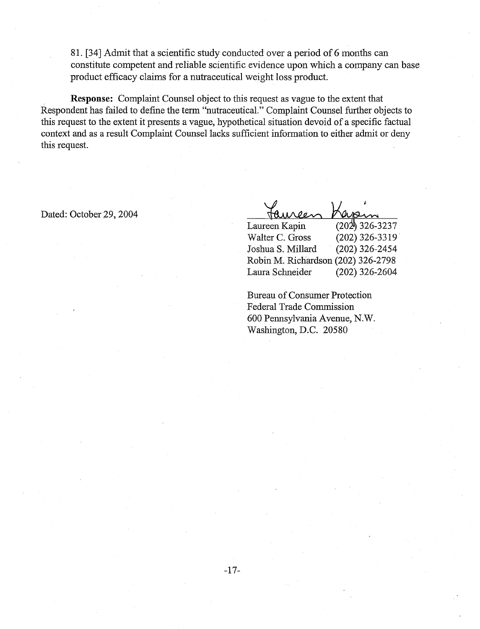8 1. [34] Admit that a scientific study conducted over a period of 6 months can constitute competent and reliable scientific evidence upon whch a company can base product efficacy claims for a nutraceutical weight loss product.

**Response:** Complaint Counsel object to this request as vague to the extent that Respondent has failed to define the term "nutraceutical." Complaint Counsel further objects to this request to the extent it presents a vague, hypothetical situation devoid of a specific factual context and as a result Complaint Counsel lacks sufficient information to either admit or deny this request.

Dated: October 29, 2004

 $H$ *MOON* Laureen Kapin  $(202)$  326-3237 Walter C. Gross (202) 326-33 19 Joshua S. Millard (202) 326-2454 Robin M. Richardson (202) 326-2798 Laura Schneider (202) 326-2604

Bureau of Consumer Protection Federal Trade Commission 600 Pennsylvania Avenue, N.W. Washington, D.C. 205 80